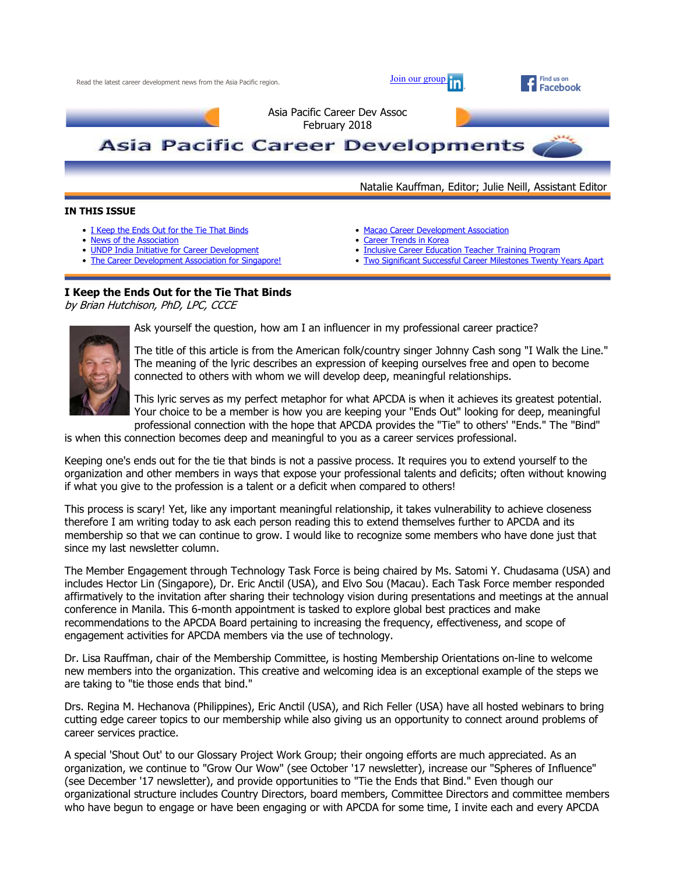

#### **IN THIS ISSUE**

- I Keep the Ends Out for the Tie That Binds
- News of the Association
- UNDP India Initiative for Career Development
- The Career Development Association for Singapore!
- Macao Career Development Association
- Career Trends in Korea
- **Inclusive Career Education Teacher Training Program**
- Two Significant Successful Career Milestones Twenty Years Apart

### **I Keep the Ends Out for the Tie That Binds**

by Brian Hutchison, PhD, LPC, CCCE



Ask yourself the question, how am I an influencer in my professional career practice?

The title of this article is from the American folk/country singer Johnny Cash song "I Walk the Line." The meaning of the lyric describes an expression of keeping ourselves free and open to become connected to others with whom we will develop deep, meaningful relationships.

This lyric serves as my perfect metaphor for what APCDA is when it achieves its greatest potential. Your choice to be a member is how you are keeping your "Ends Out" looking for deep, meaningful professional connection with the hope that APCDA provides the "Tie" to others' "Ends." The "Bind"

is when this connection becomes deep and meaningful to you as a career services professional.

Keeping one's ends out for the tie that binds is not a passive process. It requires you to extend yourself to the organization and other members in ways that expose your professional talents and deficits; often without knowing if what you give to the profession is a talent or a deficit when compared to others!

This process is scary! Yet, like any important meaningful relationship, it takes vulnerability to achieve closeness therefore I am writing today to ask each person reading this to extend themselves further to APCDA and its membership so that we can continue to grow. I would like to recognize some members who have done just that since my last newsletter column.

The Member Engagement through Technology Task Force is being chaired by Ms. Satomi Y. Chudasama (USA) and includes Hector Lin (Singapore), Dr. Eric Anctil (USA), and Elvo Sou (Macau). Each Task Force member responded affirmatively to the invitation after sharing their technology vision during presentations and meetings at the annual conference in Manila. This 6-month appointment is tasked to explore global best practices and make recommendations to the APCDA Board pertaining to increasing the frequency, effectiveness, and scope of engagement activities for APCDA members via the use of technology.

Dr. Lisa Rauffman, chair of the Membership Committee, is hosting Membership Orientations on-line to welcome new members into the organization. This creative and welcoming idea is an exceptional example of the steps we are taking to "tie those ends that bind."

Drs. Regina M. Hechanova (Philippines), Eric Anctil (USA), and Rich Feller (USA) have all hosted webinars to bring cutting edge career topics to our membership while also giving us an opportunity to connect around problems of career services practice.

A special 'Shout Out' to our Glossary Project Work Group; their ongoing efforts are much appreciated. As an organization, we continue to "Grow Our Wow" (see October '17 newsletter), increase our "Spheres of Influence" (see December '17 newsletter), and provide opportunities to "Tie the Ends that Bind." Even though our organizational structure includes Country Directors, board members, Committee Directors and committee members who have begun to engage or have been engaging or with APCDA for some time, I invite each and every APCDA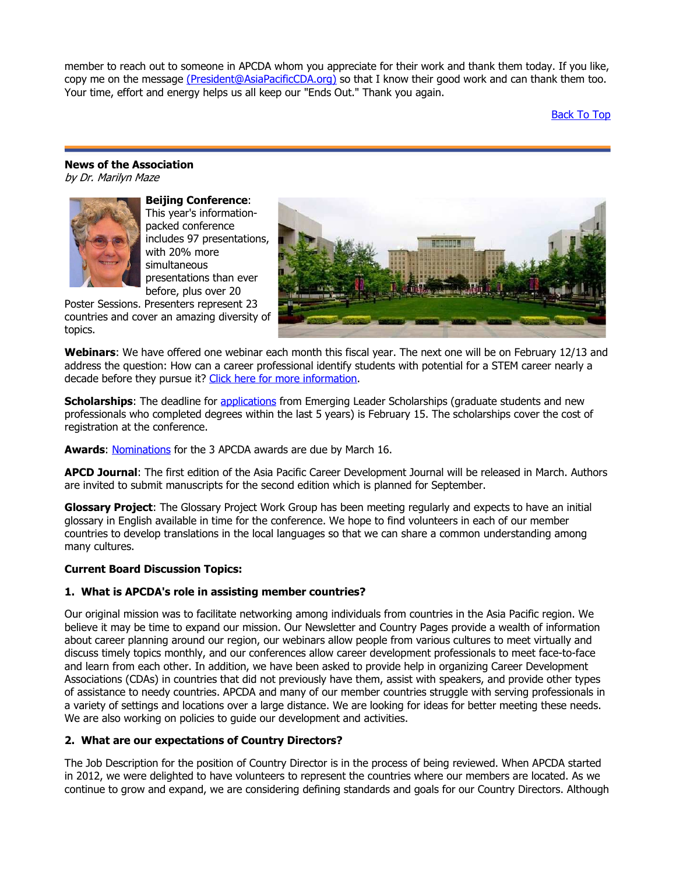member to reach out to someone in APCDA whom you appreciate for their work and thank them today. If you like, copy me on the message (President@AsiaPacificCDA.org) so that I know their good work and can thank them too. Your time, effort and energy helps us all keep our "Ends Out." Thank you again.

Back To Top

#### **News of the Association**  by Dr. Marilyn Maze



**Beijing Conference**: This year's informationpacked conference includes 97 presentations, with 20% more simultaneous presentations than ever before, plus over 20

Poster Sessions. Presenters represent 23 countries and cover an amazing diversity of topics.



**Webinars**: We have offered one webinar each month this fiscal year. The next one will be on February 12/13 and address the question: How can a career professional identify students with potential for a STEM career nearly a decade before they pursue it? Click here for more information.

**Scholarships**: The deadline for applications from Emerging Leader Scholarships (graduate students and new professionals who completed degrees within the last 5 years) is February 15. The scholarships cover the cost of registration at the conference.

Awards: Nominations for the 3 APCDA awards are due by March 16.

**APCD Journal**: The first edition of the Asia Pacific Career Development Journal will be released in March. Authors are invited to submit manuscripts for the second edition which is planned for September.

**Glossary Project**: The Glossary Project Work Group has been meeting regularly and expects to have an initial glossary in English available in time for the conference. We hope to find volunteers in each of our member countries to develop translations in the local languages so that we can share a common understanding among many cultures.

### **Current Board Discussion Topics:**

### **1. What is APCDA's role in assisting member countries?**

Our original mission was to facilitate networking among individuals from countries in the Asia Pacific region. We believe it may be time to expand our mission. Our Newsletter and Country Pages provide a wealth of information about career planning around our region, our webinars allow people from various cultures to meet virtually and discuss timely topics monthly, and our conferences allow career development professionals to meet face-to-face and learn from each other. In addition, we have been asked to provide help in organizing Career Development Associations (CDAs) in countries that did not previously have them, assist with speakers, and provide other types of assistance to needy countries. APCDA and many of our member countries struggle with serving professionals in a variety of settings and locations over a large distance. We are looking for ideas for better meeting these needs. We are also working on policies to guide our development and activities.

### **2. What are our expectations of Country Directors?**

The Job Description for the position of Country Director is in the process of being reviewed. When APCDA started in 2012, we were delighted to have volunteers to represent the countries where our members are located. As we continue to grow and expand, we are considering defining standards and goals for our Country Directors. Although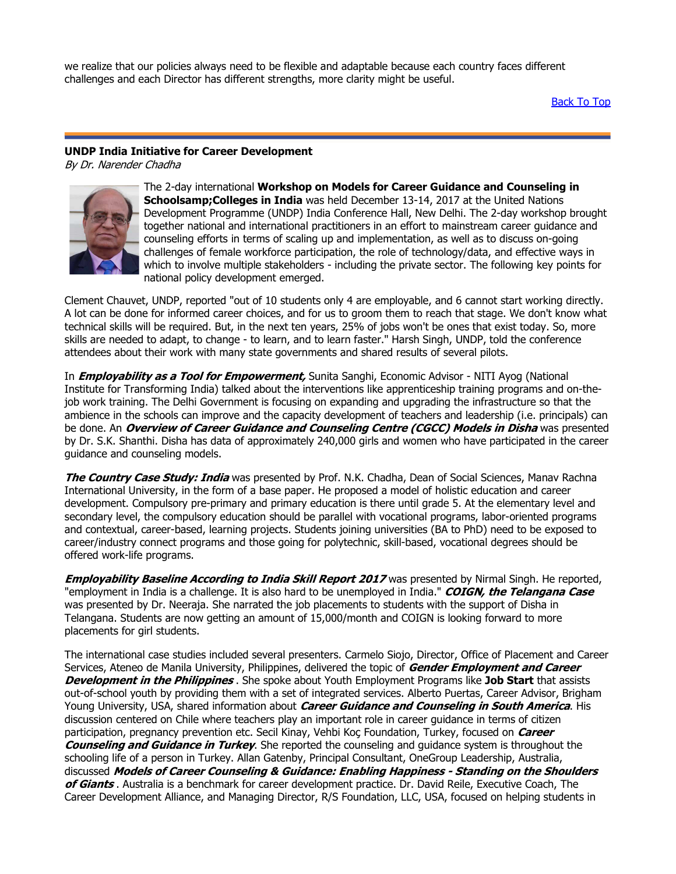we realize that our policies always need to be flexible and adaptable because each country faces different challenges and each Director has different strengths, more clarity might be useful.

Back To Top

# **UNDP India Initiative for Career Development**

By Dr. Narender Chadha



The 2-day international **Workshop on Models for Career Guidance and Counseling in Schoolsamp;Colleges in India** was held December 13-14, 2017 at the United Nations Development Programme (UNDP) India Conference Hall, New Delhi. The 2-day workshop brought together national and international practitioners in an effort to mainstream career guidance and counseling efforts in terms of scaling up and implementation, as well as to discuss on-going challenges of female workforce participation, the role of technology/data, and effective ways in which to involve multiple stakeholders - including the private sector. The following key points for national policy development emerged.

Clement Chauvet, UNDP, reported "out of 10 students only 4 are employable, and 6 cannot start working directly. A lot can be done for informed career choices, and for us to groom them to reach that stage. We don't know what technical skills will be required. But, in the next ten years, 25% of jobs won't be ones that exist today. So, more skills are needed to adapt, to change - to learn, and to learn faster." Harsh Singh, UNDP, told the conference attendees about their work with many state governments and shared results of several pilots.

In **Employability as a Tool for Empowerment,** Sunita Sanghi, Economic Advisor - NITI Ayog (National Institute for Transforming India) talked about the interventions like apprenticeship training programs and on-thejob work training. The Delhi Government is focusing on expanding and upgrading the infrastructure so that the ambience in the schools can improve and the capacity development of teachers and leadership (i.e. principals) can be done. An **Overview of Career Guidance and Counseling Centre (CGCC) Models in Disha** was presented by Dr. S.K. Shanthi. Disha has data of approximately 240,000 girls and women who have participated in the career guidance and counseling models.

**The Country Case Study: India** was presented by Prof. N.K. Chadha, Dean of Social Sciences, Manav Rachna International University, in the form of a base paper. He proposed a model of holistic education and career development. Compulsory pre-primary and primary education is there until grade 5. At the elementary level and secondary level, the compulsory education should be parallel with vocational programs, labor-oriented programs and contextual, career-based, learning projects. Students joining universities (BA to PhD) need to be exposed to career/industry connect programs and those going for polytechnic, skill-based, vocational degrees should be offered work-life programs.

**Employability Baseline According to India Skill Report 2017** was presented by Nirmal Singh. He reported, "employment in India is a challenge. It is also hard to be unemployed in India." **COIGN, the Telangana Case** was presented by Dr. Neeraja. She narrated the job placements to students with the support of Disha in Telangana. Students are now getting an amount of 15,000/month and COIGN is looking forward to more placements for girl students.

The international case studies included several presenters. Carmelo Siojo, Director, Office of Placement and Career Services, Ateneo de Manila University, Philippines, delivered the topic of **Gender Employment and Career Development in the Philippines** . She spoke about Youth Employment Programs like **Job Start** that assists out-of-school youth by providing them with a set of integrated services. Alberto Puertas, Career Advisor, Brigham Young University, USA, shared information about **Career Guidance and Counseling in South America**. His discussion centered on Chile where teachers play an important role in career guidance in terms of citizen participation, pregnancy prevention etc. Secil Kinay, Vehbi Koç Foundation, Turkey, focused on **Career Counseling and Guidance in Turkey**. She reported the counseling and guidance system is throughout the schooling life of a person in Turkey. Allan Gatenby, Principal Consultant, OneGroup Leadership, Australia, discussed **Models of Career Counseling & Guidance: Enabling Happiness - Standing on the Shoulders of Giants** . Australia is a benchmark for career development practice. Dr. David Reile, Executive Coach, The Career Development Alliance, and Managing Director, R/S Foundation, LLC, USA, focused on helping students in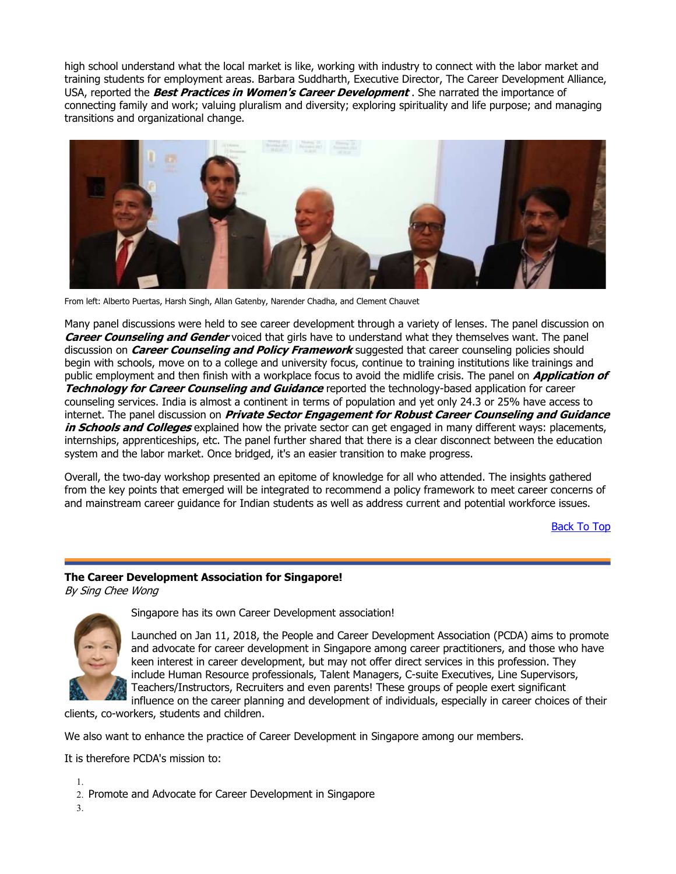high school understand what the local market is like, working with industry to connect with the labor market and training students for employment areas. Barbara Suddharth, Executive Director, The Career Development Alliance, USA, reported the **Best Practices in Women's Career Development** . She narrated the importance of connecting family and work; valuing pluralism and diversity; exploring spirituality and life purpose; and managing transitions and organizational change.



From left: Alberto Puertas, Harsh Singh, Allan Gatenby, Narender Chadha, and Clement Chauvet

Many panel discussions were held to see career development through a variety of lenses. The panel discussion on **Career Counseling and Gender** voiced that girls have to understand what they themselves want. The panel discussion on **Career Counseling and Policy Framework** suggested that career counseling policies should begin with schools, move on to a college and university focus, continue to training institutions like trainings and public employment and then finish with a workplace focus to avoid the midlife crisis. The panel on **Application of Technology for Career Counseling and Guidance** reported the technology-based application for career counseling services. India is almost a continent in terms of population and yet only 24.3 or 25% have access to internet. The panel discussion on **Private Sector Engagement for Robust Career Counseling and Guidance in Schools and Colleges** explained how the private sector can get engaged in many different ways: placements, internships, apprenticeships, etc. The panel further shared that there is a clear disconnect between the education system and the labor market. Once bridged, it's an easier transition to make progress.

Overall, the two-day workshop presented an epitome of knowledge for all who attended. The insights gathered from the key points that emerged will be integrated to recommend a policy framework to meet career concerns of and mainstream career guidance for Indian students as well as address current and potential workforce issues.

Back To Top

# **The Career Development Association for Singapore!**

By Sing Chee Wong



Singapore has its own Career Development association!

Launched on Jan 11, 2018, the People and Career Development Association (PCDA) aims to promote and advocate for career development in Singapore among career practitioners, and those who have keen interest in career development, but may not offer direct services in this profession. They include Human Resource professionals, Talent Managers, C-suite Executives, Line Supervisors, Teachers/Instructors, Recruiters and even parents! These groups of people exert significant influence on the career planning and development of individuals, especially in career choices of their

clients, co-workers, students and children.

We also want to enhance the practice of Career Development in Singapore among our members.

It is therefore PCDA's mission to:

1. 2. Promote and Advocate for Career Development in Singapore

3.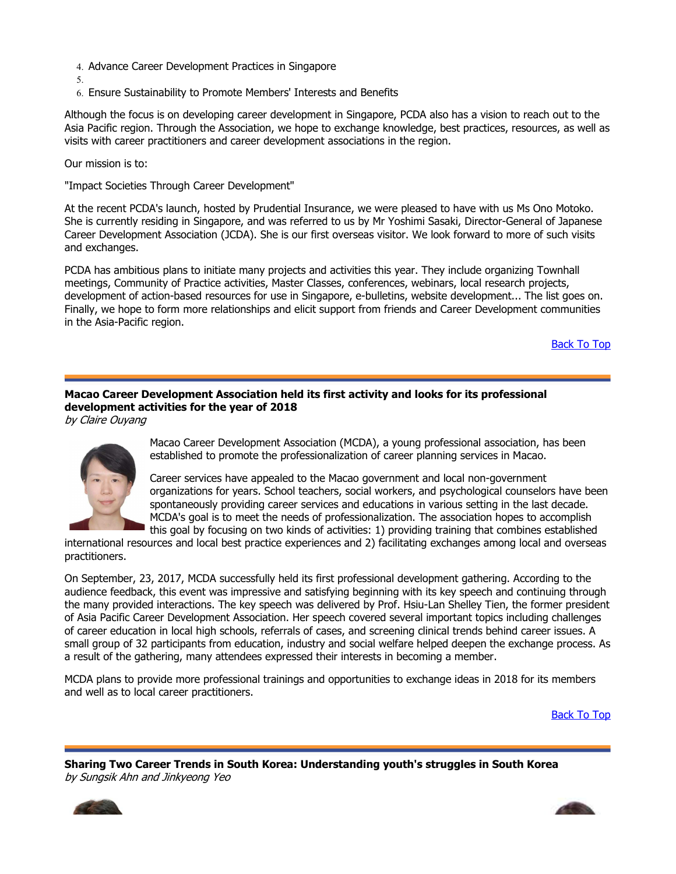- 4. Advance Career Development Practices in Singapore
- 5.
- 6. Ensure Sustainability to Promote Members' Interests and Benefits

Although the focus is on developing career development in Singapore, PCDA also has a vision to reach out to the Asia Pacific region. Through the Association, we hope to exchange knowledge, best practices, resources, as well as visits with career practitioners and career development associations in the region.

Our mission is to:

"Impact Societies Through Career Development"

At the recent PCDA's launch, hosted by Prudential Insurance, we were pleased to have with us Ms Ono Motoko. She is currently residing in Singapore, and was referred to us by Mr Yoshimi Sasaki, Director-General of Japanese Career Development Association (JCDA). She is our first overseas visitor. We look forward to more of such visits and exchanges.

PCDA has ambitious plans to initiate many projects and activities this year. They include organizing Townhall meetings, Community of Practice activities, Master Classes, conferences, webinars, local research projects, development of action-based resources for use in Singapore, e-bulletins, website development... The list goes on. Finally, we hope to form more relationships and elicit support from friends and Career Development communities in the Asia-Pacific region.

Back To Top

## **Macao Career Development Association held its first activity and looks for its professional development activities for the year of 2018**

by Claire Ouyang



Macao Career Development Association (MCDA), a young professional association, has been established to promote the professionalization of career planning services in Macao.

Career services have appealed to the Macao government and local non-government organizations for years. School teachers, social workers, and psychological counselors have been spontaneously providing career services and educations in various setting in the last decade. MCDA's goal is to meet the needs of professionalization. The association hopes to accomplish this goal by focusing on two kinds of activities: 1) providing training that combines established

international resources and local best practice experiences and 2) facilitating exchanges among local and overseas practitioners.

On September, 23, 2017, MCDA successfully held its first professional development gathering. According to the audience feedback, this event was impressive and satisfying beginning with its key speech and continuing through the many provided interactions. The key speech was delivered by Prof. Hsiu-Lan Shelley Tien, the former president of Asia Pacific Career Development Association. Her speech covered several important topics including challenges of career education in local high schools, referrals of cases, and screening clinical trends behind career issues. A small group of 32 participants from education, industry and social welfare helped deepen the exchange process. As a result of the gathering, many attendees expressed their interests in becoming a member.

MCDA plans to provide more professional trainings and opportunities to exchange ideas in 2018 for its members and well as to local career practitioners.

Back To Top

**Sharing Two Career Trends in South Korea: Understanding youth's struggles in South Korea** by Sungsik Ahn and Jinkyeong Yeo



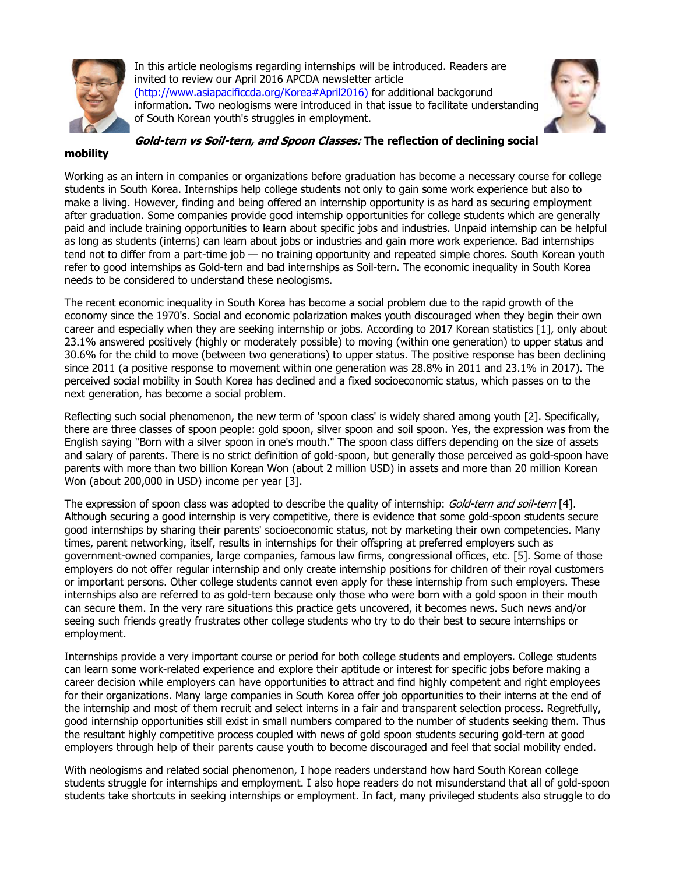

In this article neologisms regarding internships will be introduced. Readers are invited to review our April 2016 APCDA newsletter article (http://www.asiapacificcda.org/Korea#April2016) for additional backgorund information. Two neologisms were introduced in that issue to facilitate understanding of South Korean youth's struggles in employment.



### **mobility**

Working as an intern in companies or organizations before graduation has become a necessary course for college students in South Korea. Internships help college students not only to gain some work experience but also to make a living. However, finding and being offered an internship opportunity is as hard as securing employment after graduation. Some companies provide good internship opportunities for college students which are generally paid and include training opportunities to learn about specific jobs and industries. Unpaid internship can be helpful as long as students (interns) can learn about jobs or industries and gain more work experience. Bad internships tend not to differ from a part-time job — no training opportunity and repeated simple chores. South Korean youth refer to good internships as Gold-tern and bad internships as Soil-tern. The economic inequality in South Korea needs to be considered to understand these neologisms.

The recent economic inequality in South Korea has become a social problem due to the rapid growth of the economy since the 1970's. Social and economic polarization makes youth discouraged when they begin their own career and especially when they are seeking internship or jobs. According to 2017 Korean statistics [1], only about 23.1% answered positively (highly or moderately possible) to moving (within one generation) to upper status and 30.6% for the child to move (between two generations) to upper status. The positive response has been declining since 2011 (a positive response to movement within one generation was 28.8% in 2011 and 23.1% in 2017). The perceived social mobility in South Korea has declined and a fixed socioeconomic status, which passes on to the next generation, has become a social problem.

Reflecting such social phenomenon, the new term of 'spoon class' is widely shared among youth [2]. Specifically, there are three classes of spoon people: gold spoon, silver spoon and soil spoon. Yes, the expression was from the English saying "Born with a silver spoon in one's mouth." The spoon class differs depending on the size of assets and salary of parents. There is no strict definition of gold-spoon, but generally those perceived as gold-spoon have parents with more than two billion Korean Won (about 2 million USD) in assets and more than 20 million Korean Won (about 200,000 in USD) income per year [3].

The expression of spoon class was adopted to describe the quality of internship: Gold-tern and soil-tern [4]. Although securing a good internship is very competitive, there is evidence that some gold-spoon students secure good internships by sharing their parents' socioeconomic status, not by marketing their own competencies. Many times, parent networking, itself, results in internships for their offspring at preferred employers such as government-owned companies, large companies, famous law firms, congressional offices, etc. [5]. Some of those employers do not offer regular internship and only create internship positions for children of their royal customers or important persons. Other college students cannot even apply for these internship from such employers. These internships also are referred to as gold-tern because only those who were born with a gold spoon in their mouth can secure them. In the very rare situations this practice gets uncovered, it becomes news. Such news and/or seeing such friends greatly frustrates other college students who try to do their best to secure internships or employment.

Internships provide a very important course or period for both college students and employers. College students can learn some work-related experience and explore their aptitude or interest for specific jobs before making a career decision while employers can have opportunities to attract and find highly competent and right employees for their organizations. Many large companies in South Korea offer job opportunities to their interns at the end of the internship and most of them recruit and select interns in a fair and transparent selection process. Regretfully, good internship opportunities still exist in small numbers compared to the number of students seeking them. Thus the resultant highly competitive process coupled with news of gold spoon students securing gold-tern at good employers through help of their parents cause youth to become discouraged and feel that social mobility ended.

With neologisms and related social phenomenon, I hope readers understand how hard South Korean college students struggle for internships and employment. I also hope readers do not misunderstand that all of gold-spoon students take shortcuts in seeking internships or employment. In fact, many privileged students also struggle to do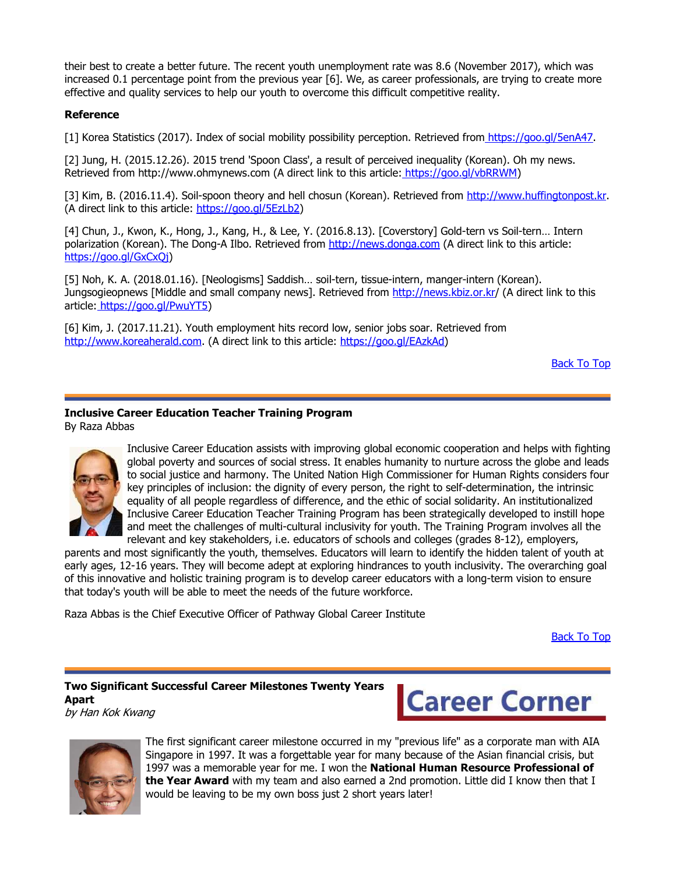their best to create a better future. The recent youth unemployment rate was 8.6 (November 2017), which was increased 0.1 percentage point from the previous year [6]. We, as career professionals, are trying to create more effective and quality services to help our youth to overcome this difficult competitive reality.

### **Reference**

[1] Korea Statistics (2017). Index of social mobility possibility perception. Retrieved from https://goo.gl/5enA47.

[2] Jung, H. (2015.12.26). 2015 trend 'Spoon Class', a result of perceived inequality (Korean). Oh my news. Retrieved from http://www.ohmynews.com (A direct link to this article: https://goo.gl/vbRRWM)

[3] Kim, B. (2016.11.4). Soil-spoon theory and hell chosun (Korean). Retrieved from http://www.huffingtonpost.kr. (A direct link to this article: https://goo.gl/5EzLb2)

[4] Chun, J., Kwon, K., Hong, J., Kang, H., & Lee, Y. (2016.8.13). [Coverstory] Gold-tern vs Soil-tern… Intern polarization (Korean). The Dong-A Ilbo. Retrieved from http://news.donga.com (A direct link to this article: https://goo.gl/GxCxQj)

[5] Noh, K. A. (2018.01.16). [Neologisms] Saddish… soil-tern, tissue-intern, manger-intern (Korean). Jungsogieopnews [Middle and small company news]. Retrieved from http://news.kbiz.or.kr/ (A direct link to this article: https://goo.gl/PwuYT5)

[6] Kim, J. (2017.11.21). Youth employment hits record low, senior jobs soar. Retrieved from http://www.koreaherald.com. (A direct link to this article: https://goo.gl/EAzkAd)

**Back To Top** 

# **Inclusive Career Education Teacher Training Program**

By Raza Abbas



Inclusive Career Education assists with improving global economic cooperation and helps with fighting global poverty and sources of social stress. It enables humanity to nurture across the globe and leads to social justice and harmony. The United Nation High Commissioner for Human Rights considers four key principles of inclusion: the dignity of every person, the right to self-determination, the intrinsic equality of all people regardless of difference, and the ethic of social solidarity. An institutionalized Inclusive Career Education Teacher Training Program has been strategically developed to instill hope and meet the challenges of multi-cultural inclusivity for youth. The Training Program involves all the relevant and key stakeholders, i.e. educators of schools and colleges (grades 8-12), employers,

parents and most significantly the youth, themselves. Educators will learn to identify the hidden talent of youth at early ages, 12-16 years. They will become adept at exploring hindrances to youth inclusivity. The overarching goal of this innovative and holistic training program is to develop career educators with a long-term vision to ensure that today's youth will be able to meet the needs of the future workforce.

Raza Abbas is the Chief Executive Officer of Pathway Global Career Institute

Back To Top

#### **Two Significant Successful Career Milestones Twenty Years Apart** by Han Kok Kwang





The first significant career milestone occurred in my "previous life" as a corporate man with AIA Singapore in 1997. It was a forgettable year for many because of the Asian financial crisis, but 1997 was a memorable year for me. I won the **National Human Resource Professional of the Year Award** with my team and also earned a 2nd promotion. Little did I know then that I would be leaving to be my own boss just 2 short years later!